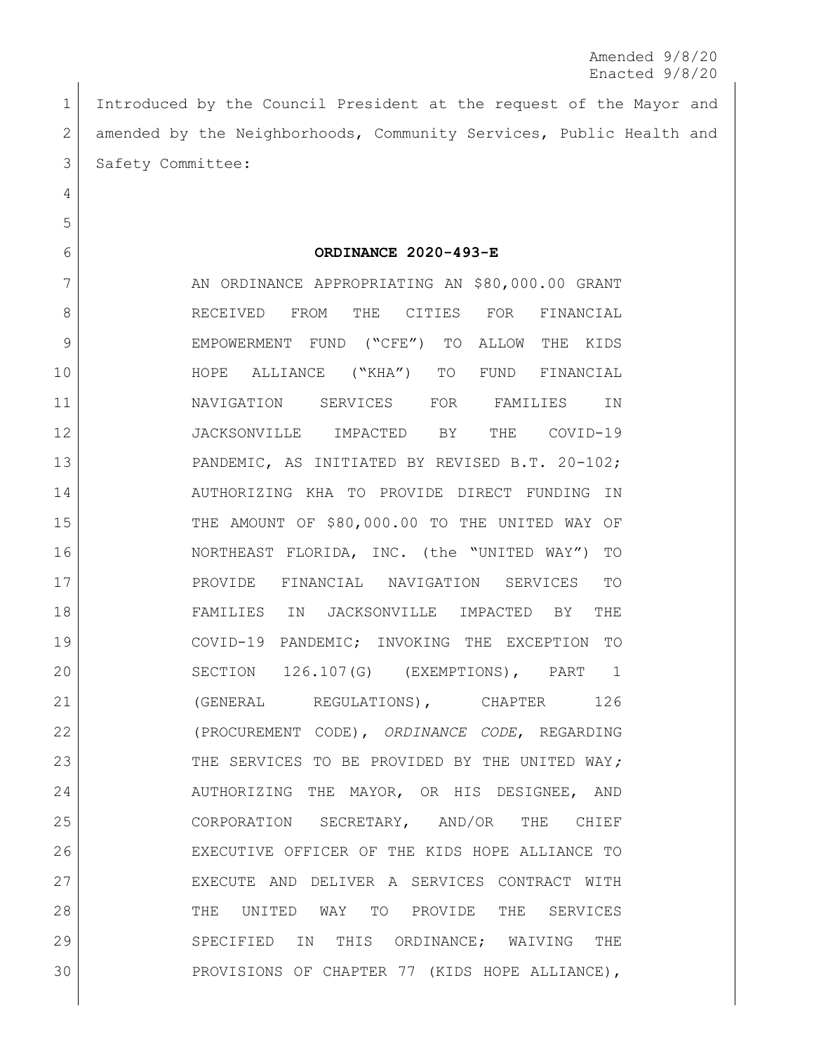Amended 9/8/20 Enacted 9/8/20

 Introduced by the Council President at the request of the Mayor and 2 amended by the Neighborhoods, Community Services, Public Health and 3 Safety Committee:

**ORDINANCE 2020-493-E**

7 AN ORDINANCE APPROPRIATING AN \$80,000.00 GRANT 8 RECEIVED FROM THE CITIES FOR FINANCIAL EMPOWERMENT FUND ("CFE") TO ALLOW THE KIDS HOPE ALLIANCE ("KHA") TO FUND FINANCIAL NAVIGATION SERVICES FOR FAMILIES IN JACKSONVILLE IMPACTED BY THE COVID-19 PANDEMIC, AS INITIATED BY REVISED B.T. 20-102; AUTHORIZING KHA TO PROVIDE DIRECT FUNDING IN THE AMOUNT OF \$80,000.00 TO THE UNITED WAY OF NORTHEAST FLORIDA, INC. (the "UNITED WAY") TO PROVIDE FINANCIAL NAVIGATION SERVICES TO FAMILIES IN JACKSONVILLE IMPACTED BY THE COVID-19 PANDEMIC; INVOKING THE EXCEPTION TO SECTION 126.107(G) (EXEMPTIONS), PART 1 21 (GENERAL REGULATIONS), CHAPTER 126 (PROCUREMENT CODE), *ORDINANCE CODE*, REGARDING THE SERVICES TO BE PROVIDED BY THE UNITED WAY*;*  24 AUTHORIZING THE MAYOR, OR HIS DESIGNEE, AND CORPORATION SECRETARY, AND/OR THE CHIEF EXECUTIVE OFFICER OF THE KIDS HOPE ALLIANCE TO EXECUTE AND DELIVER A SERVICES CONTRACT WITH THE UNITED WAY TO PROVIDE THE SERVICES SPECIFIED IN THIS ORDINANCE; WAIVING THE PROVISIONS OF CHAPTER 77 (KIDS HOPE ALLIANCE),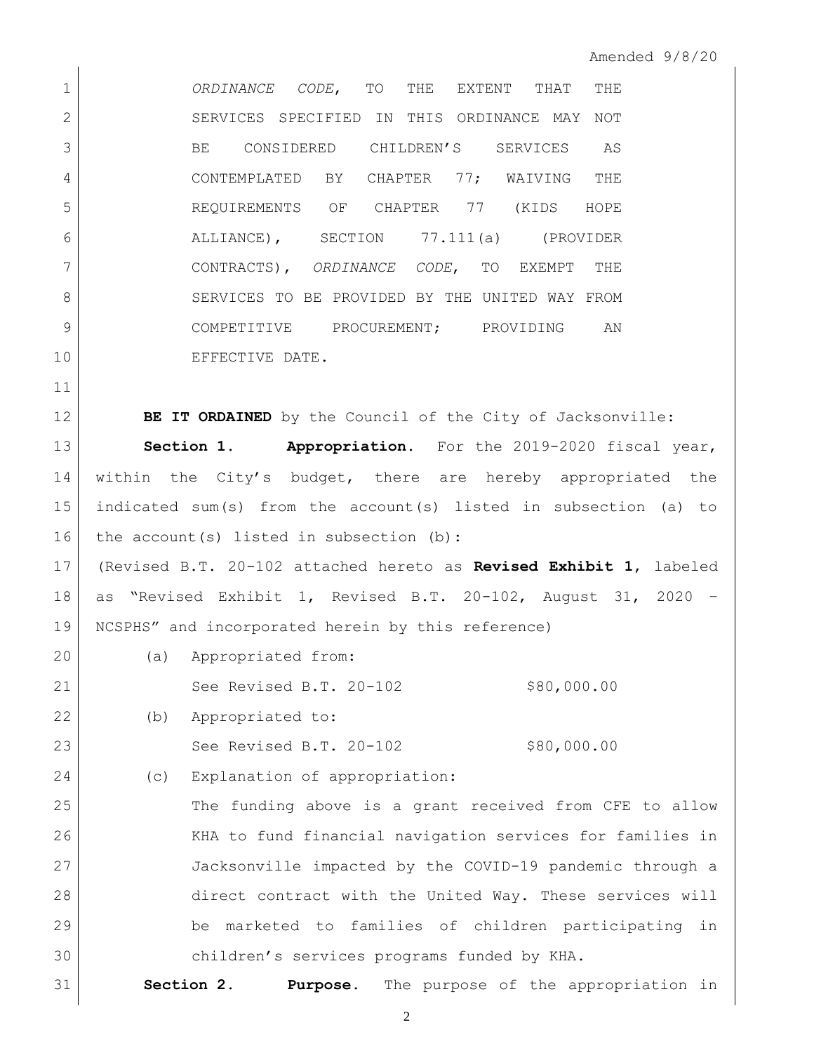*ORDINANCE CODE*, TO THE EXTENT THAT THE 2 SERVICES SPECIFIED IN THIS ORDINANCE MAY NOT BE CONSIDERED CHILDREN'S SERVICES AS CONTEMPLATED BY CHAPTER 77; WAIVING THE REQUIREMENTS OF CHAPTER 77 (KIDS HOPE ALLIANCE), SECTION 77.111(a) (PROVIDER CONTRACTS), *ORDINANCE CODE*, TO EXEMPT THE 8 SERVICES TO BE PROVIDED BY THE UNITED WAY FROM 9 COMPETITIVE PROCUREMENT; PROVIDING AN 10 EFFECTIVE DATE.

**BE IT ORDAINED** by the Council of the City of Jacksonville:

 **Section 1. Appropriation.** For the 2019-2020 fiscal year, within the City's budget, there are hereby appropriated the indicated sum(s) from the account(s) listed in subsection (a) to 16 the account(s) listed in subsection (b):

 (Revised B.T. 20-102 attached hereto as **Revised Exhibit 1**, labeled as "Revised Exhibit 1, Revised B.T. 20-102, August 31, 2020 – NCSPHS" and incorporated herein by this reference)

 (a) Appropriated from: 21 See Revised B.T. 20-102 \$80,000.00

(b) Appropriated to:

23 See Revised B.T. 20-102 \$80,000.00

24 (c) Explanation of appropriation:

 The funding above is a grant received from CFE to allow KHA to fund financial navigation services for families in Jacksonville impacted by the COVID-19 pandemic through a direct contract with the United Way. These services will be marketed to families of children participating in children's services programs funded by KHA.

**Section 2. Purpose.** The purpose of the appropriation in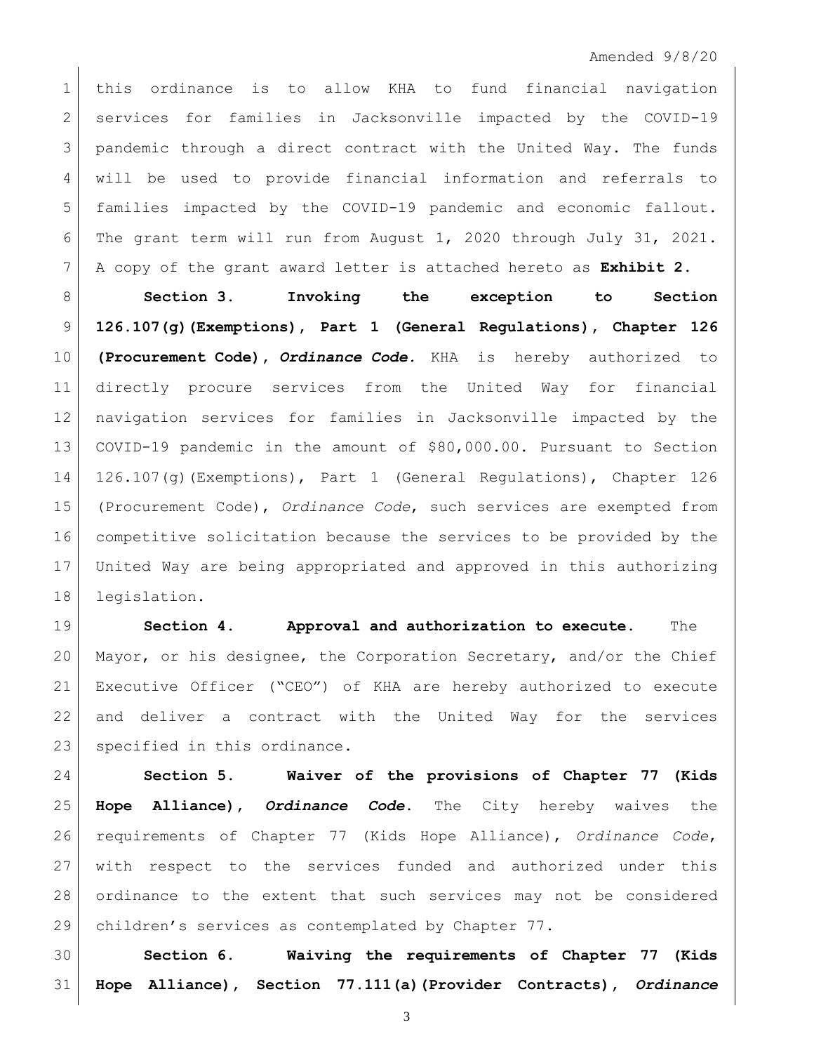## Amended 9/8/20

 this ordinance is to allow KHA to fund financial navigation 2 services for families in Jacksonville impacted by the COVID-19 3 | pandemic through a direct contract with the United Way. The funds will be used to provide financial information and referrals to families impacted by the COVID-19 pandemic and economic fallout. The grant term will run from August 1, 2020 through July 31, 2021. A copy of the grant award letter is attached hereto as **Exhibit 2**.

 **Section 3. Invoking the exception to Section 126.107(g)(Exemptions), Part 1 (General Regulations), Chapter 126 (Procurement Code),** *Ordinance Code.* KHA is hereby authorized to directly procure services from the United Way for financial navigation services for families in Jacksonville impacted by the COVID-19 pandemic in the amount of \$80,000.00. Pursuant to Section 126.107(g)(Exemptions), Part 1 (General Regulations), Chapter 126 (Procurement Code), *Ordinance Code*, such services are exempted from competitive solicitation because the services to be provided by the United Way are being appropriated and approved in this authorizing legislation.

 **Section 4. Approval and authorization to execute.** The Mayor, or his designee, the Corporation Secretary, and/or the Chief Executive Officer ("CEO") of KHA are hereby authorized to execute and deliver a contract with the United Way for the services 23 specified in this ordinance.

 **Section 5. Waiver of the provisions of Chapter 77 (Kids Hope Alliance),** *Ordinance Code***.** The City hereby waives the requirements of Chapter 77 (Kids Hope Alliance), *Ordinance Code*, with respect to the services funded and authorized under this ordinance to the extent that such services may not be considered children's services as contemplated by Chapter 77.

 **Section 6. Waiving the requirements of Chapter 77 (Kids Hope Alliance), Section 77.111(a)(Provider Contracts),** *Ordinance*